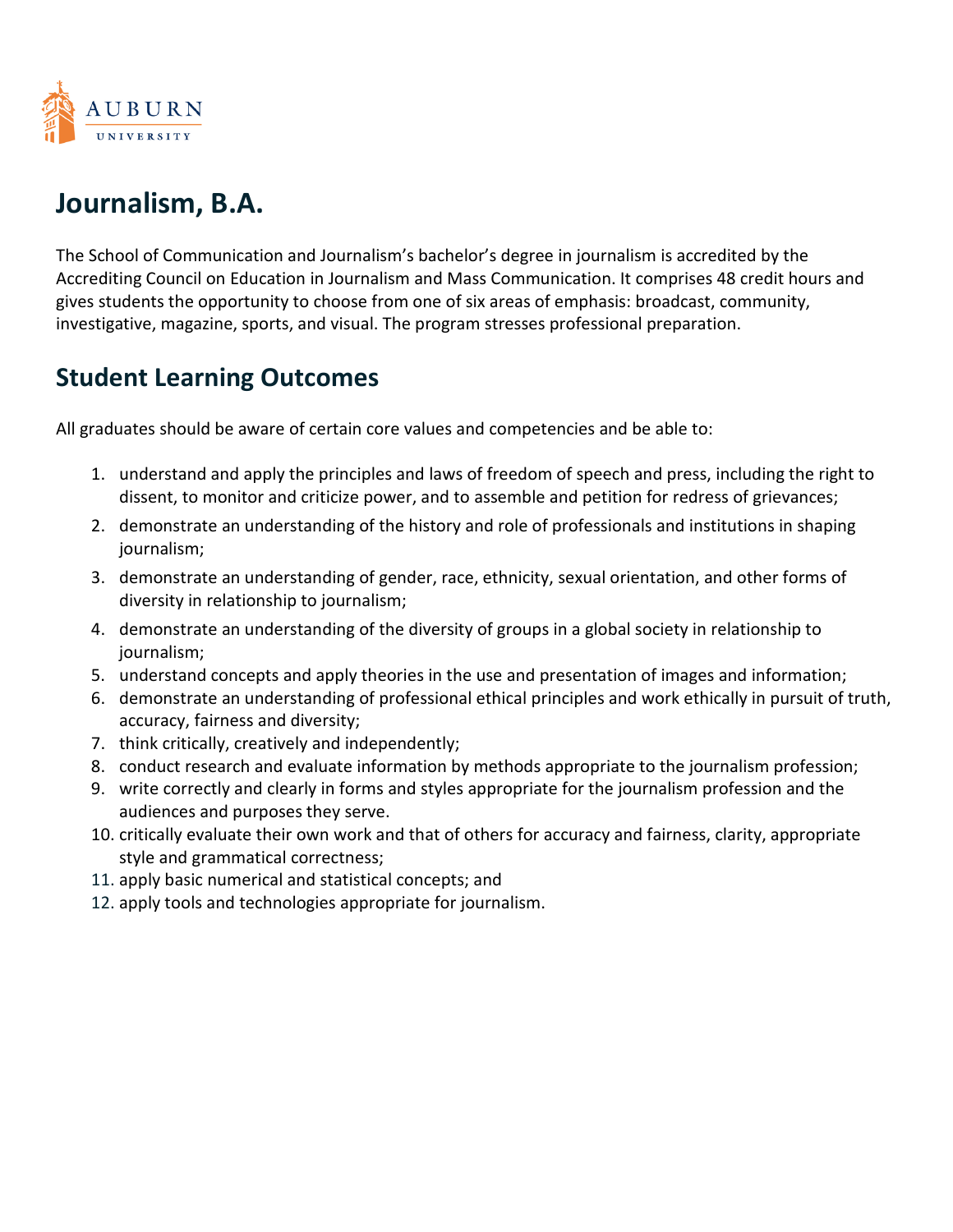

## **Journalism, B.A.**

The School of Communication and Journalism's bachelor's degree in journalism is accredited by the Accrediting Council on Education in Journalism and Mass Communication. It comprises 48 credit hours and gives students the opportunity to choose from one of six areas of emphasis: broadcast, community, investigative, magazine, sports, and visual. The program stresses professional preparation.

## **Student Learning Outcomes**

All graduates should be aware of certain core values and competencies and be able to:

- 1. understand and apply the principles and laws of freedom of speech and press, including the right to dissent, to monitor and criticize power, and to assemble and petition for redress of grievances;
- 2. demonstrate an understanding of the history and role of professionals and institutions in shaping journalism;
- 3. demonstrate an understanding of gender, race, ethnicity, sexual orientation, and other forms of diversity in relationship to journalism;
- 4. demonstrate an understanding of the diversity of groups in a global society in relationship to journalism;
- 5. understand concepts and apply theories in the use and presentation of images and information;
- 6. demonstrate an understanding of professional ethical principles and work ethically in pursuit of truth, accuracy, fairness and diversity;
- 7. think critically, creatively and independently;
- 8. conduct research and evaluate information by methods appropriate to the journalism profession;
- 9. write correctly and clearly in forms and styles appropriate for the journalism profession and the audiences and purposes they serve.
- 10. critically evaluate their own work and that of others for accuracy and fairness, clarity, appropriate style and grammatical correctness;
- 11. apply basic numerical and statistical concepts; and
- 12. apply tools and technologies appropriate for journalism.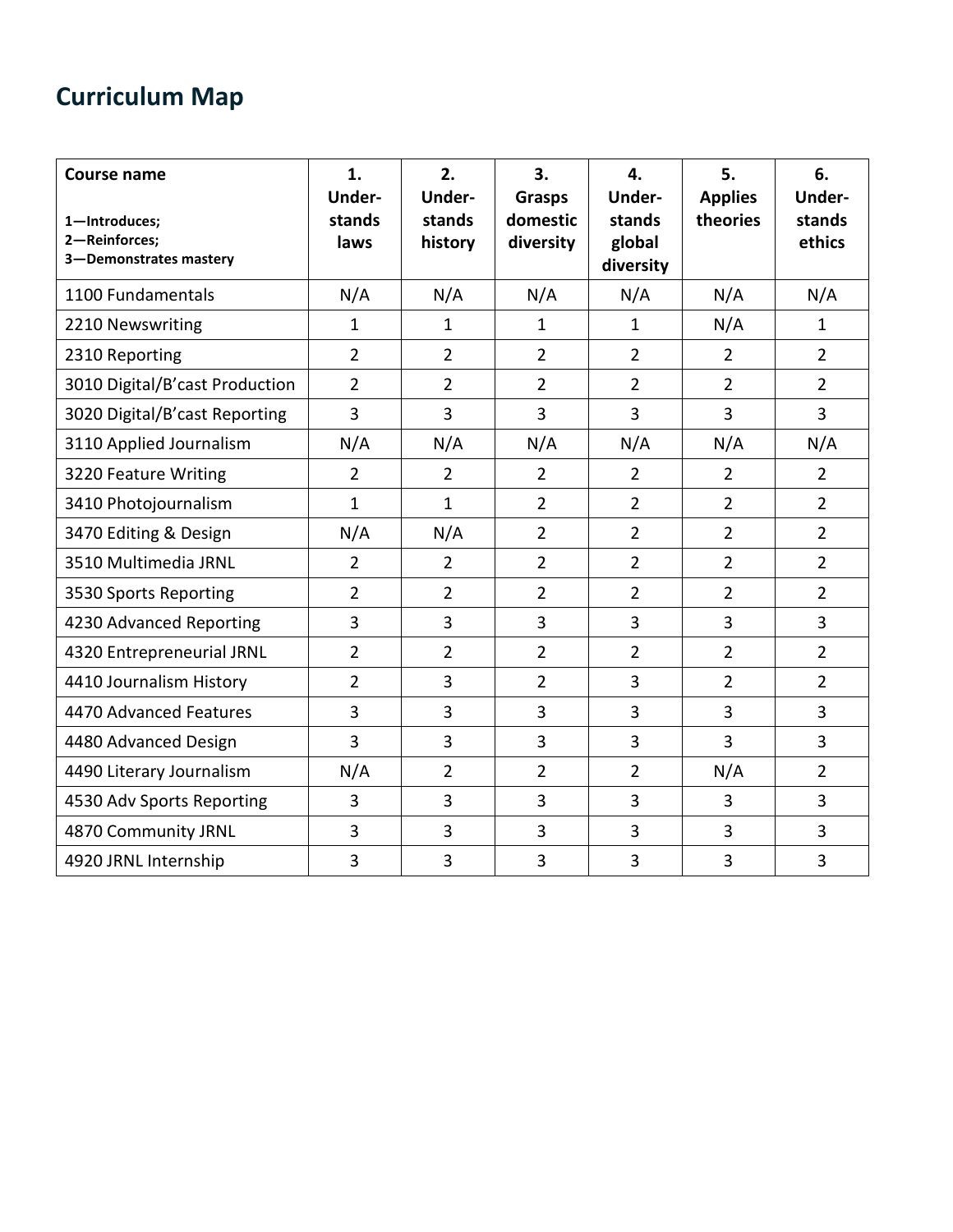## **Curriculum Map**

| <b>Course name</b><br>1-Introduces;<br>2-Reinforces;<br>3-Demonstrates mastery | 1.<br>Under-<br>stands<br>laws | 2.<br>Under-<br>stands<br>history | 3.<br><b>Grasps</b><br>domestic<br>diversity | 4.<br>Under-<br>stands<br>global<br>diversity | 5.<br><b>Applies</b><br>theories | 6.<br>Under-<br>stands<br>ethics |
|--------------------------------------------------------------------------------|--------------------------------|-----------------------------------|----------------------------------------------|-----------------------------------------------|----------------------------------|----------------------------------|
| 1100 Fundamentals                                                              | N/A                            | N/A                               | N/A                                          | N/A                                           | N/A                              | N/A                              |
| 2210 Newswriting                                                               | 1                              | $\mathbf{1}$                      | $\mathbf{1}$                                 | $\mathbf{1}$                                  | N/A                              | $\mathbf{1}$                     |
| 2310 Reporting                                                                 | $\overline{2}$                 | $\overline{2}$                    | $\overline{2}$                               | $\overline{2}$                                | $\overline{2}$                   | $\overline{2}$                   |
| 3010 Digital/B'cast Production                                                 | $\overline{2}$                 | $\overline{2}$                    | $\overline{2}$                               | $\overline{2}$                                | $\overline{2}$                   | $\overline{2}$                   |
| 3020 Digital/B'cast Reporting                                                  | 3                              | 3                                 | 3                                            | 3                                             | 3                                | 3                                |
| 3110 Applied Journalism                                                        | N/A                            | N/A                               | N/A                                          | N/A                                           | N/A                              | N/A                              |
| 3220 Feature Writing                                                           | $\overline{2}$                 | $\overline{2}$                    | $\overline{2}$                               | $\overline{2}$                                | $\overline{2}$                   | $\overline{2}$                   |
| 3410 Photojournalism                                                           | $\mathbf 1$                    | $\mathbf{1}$                      | $\overline{2}$                               | $\overline{2}$                                | $\overline{2}$                   | $\overline{2}$                   |
| 3470 Editing & Design                                                          | N/A                            | N/A                               | $\overline{2}$                               | $\overline{2}$                                | $\overline{2}$                   | $\overline{2}$                   |
| 3510 Multimedia JRNL                                                           | $\overline{2}$                 | $\overline{2}$                    | $\overline{2}$                               | $\overline{2}$                                | $\overline{2}$                   | $\overline{2}$                   |
| 3530 Sports Reporting                                                          | $\overline{2}$                 | $\overline{2}$                    | $\overline{2}$                               | $\overline{2}$                                | $\overline{2}$                   | $\overline{2}$                   |
| 4230 Advanced Reporting                                                        | 3                              | 3                                 | 3                                            | 3                                             | 3                                | 3                                |
| 4320 Entrepreneurial JRNL                                                      | $\overline{2}$                 | $\overline{2}$                    | $\overline{2}$                               | $\overline{2}$                                | $\overline{2}$                   | $\overline{2}$                   |
| 4410 Journalism History                                                        | $\overline{2}$                 | 3                                 | $\overline{2}$                               | 3                                             | $\overline{2}$                   | $\overline{2}$                   |
| 4470 Advanced Features                                                         | 3                              | 3                                 | $\overline{3}$                               | 3                                             | 3                                | 3                                |
| 4480 Advanced Design                                                           | 3                              | 3                                 | 3                                            | 3                                             | 3                                | 3                                |
| 4490 Literary Journalism                                                       | N/A                            | $\overline{2}$                    | $\overline{2}$                               | $\overline{2}$                                | N/A                              | $\overline{2}$                   |
| 4530 Adv Sports Reporting                                                      | 3                              | 3                                 | $\overline{3}$                               | $\overline{3}$                                | 3                                | $\overline{3}$                   |
| 4870 Community JRNL                                                            | 3                              | 3                                 | 3                                            | 3                                             | 3                                | 3                                |
| 4920 JRNL Internship                                                           | 3                              | 3                                 | 3                                            | 3                                             | 3                                | 3                                |